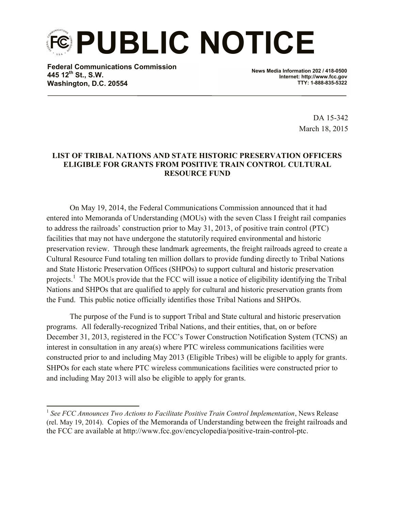**PUBLIC NOTICE**

**Federal Communications Commission 445 12th St., S.W. Washington, D.C. 20554**

l

**News Media Information 202 / 418-0500 Internet: http://www.fcc.gov TTY: 1-888-835-5322**

> DA 15-342 March 18, 2015

## **LIST OF TRIBAL NATIONS AND STATE HISTORIC PRESERVATION OFFICERS ELIGIBLE FOR GRANTS FROM POSITIVE TRAIN CONTROL CULTURAL RESOURCE FUND**

On May 19, 2014, the Federal Communications Commission announced that it had entered into Memoranda of Understanding (MOUs) with the seven Class I freight rail companies to address the railroads' construction prior to May 31, 2013, of positive train control (PTC) facilities that may not have undergone the statutorily required environmental and historic preservation review. Through these landmark agreements, the freight railroads agreed to create a Cultural Resource Fund totaling ten million dollars to provide funding directly to Tribal Nations and State Historic Preservation Offices (SHPOs) to support cultural and historic preservation projects.<sup>1</sup> The MOUs provide that the FCC will issue a notice of eligibility identifying the Tribal Nations and SHPOs that are qualified to apply for cultural and historic preservation grants from the Fund. This public notice officially identifies those Tribal Nations and SHPOs.

The purpose of the Fund is to support Tribal and State cultural and historic preservation programs. All federally-recognized Tribal Nations, and their entities, that, on or before December 31, 2013, registered in the FCC's Tower Construction Notification System (TCNS) an interest in consultation in any area(s) where PTC wireless communications facilities were constructed prior to and including May 2013 (Eligible Tribes) will be eligible to apply for grants. SHPOs for each state where PTC wireless communications facilities were constructed prior to and including May 2013 will also be eligible to apply for grants.

<sup>&</sup>lt;sup>1</sup> See FCC Announces Two Actions to Facilitate Positive Train Control Implementation, News Release (rel. May 19, 2014). Copies of the Memoranda of Understanding between the freight railroads and the FCC are available at http://www.fcc.gov/encyclopedia/positive-train-control-ptc.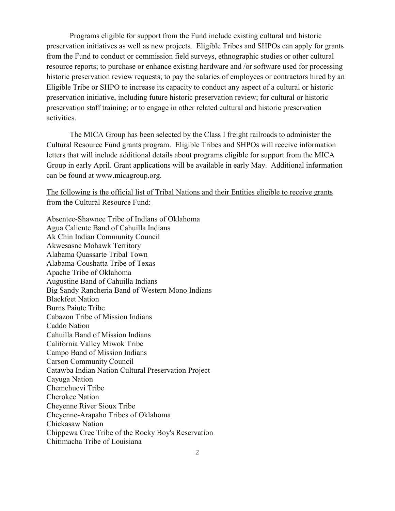Programs eligible for support from the Fund include existing cultural and historic preservation initiatives as well as new projects. Eligible Tribes and SHPOs can apply for grants from the Fund to conduct or commission field surveys, ethnographic studies or other cultural resource reports; to purchase or enhance existing hardware and /or software used for processing historic preservation review requests; to pay the salaries of employees or contractors hired by an Eligible Tribe or SHPO to increase its capacity to conduct any aspect of a cultural or historic preservation initiative, including future historic preservation review; for cultural or historic preservation staff training; or to engage in other related cultural and historic preservation activities.

The MICA Group has been selected by the Class I freight railroads to administer the Cultural Resource Fund grants program. Eligible Tribes and SHPOs will receive information letters that will include additional details about programs eligible for support from the MICA Group in early April. Grant applications will be available in early May. Additional information can be found at www.micagroup.org.

The following is the official list of Tribal Nations and their Entities eligible to receive grants from the Cultural Resource Fund:

Absentee-Shawnee Tribe of Indians of Oklahoma Agua Caliente Band of Cahuilla Indians Ak Chin Indian Community Council Akwesasne Mohawk Territory Alabama Quassarte Tribal Town Alabama-Coushatta Tribe of Texas Apache Tribe of Oklahoma Augustine Band of Cahuilla Indians Big Sandy Rancheria Band of Western Mono Indians Blackfeet Nation Burns Paiute Tribe Cabazon Tribe of Mission Indians Caddo Nation Cahuilla Band of Mission Indians California Valley Miwok Tribe Campo Band of Mission Indians Carson Community Council Catawba Indian Nation Cultural Preservation Project Cayuga Nation Chemehuevi Tribe Cherokee Nation Cheyenne River Sioux Tribe Cheyenne-Arapaho Tribes of Oklahoma Chickasaw Nation Chippewa Cree Tribe of the Rocky Boy's Reservation Chitimacha Tribe of Louisiana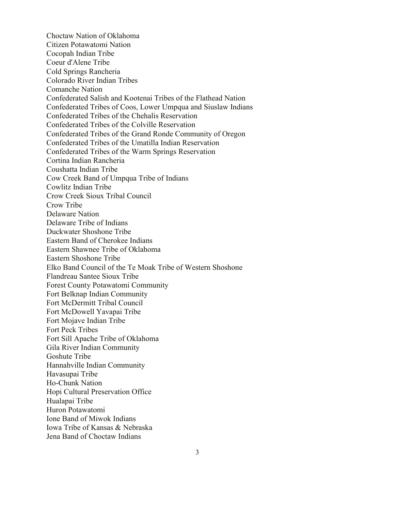Choctaw Nation of Oklahoma Citizen Potawatomi Nation Cocopah Indian Tribe Coeur d'Alene Tribe Cold Springs Rancheria Colorado River Indian Tribes Comanche Nation Confederated Salish and Kootenai Tribes of the Flathead Nation Confederated Tribes of Coos, Lower Umpqua and Siuslaw Indians Confederated Tribes of the Chehalis Reservation Confederated Tribes of the Colville Reservation Confederated Tribes of the Grand Ronde Community of Oregon Confederated Tribes of the Umatilla Indian Reservation Confederated Tribes of the Warm Springs Reservation Cortina Indian Rancheria Coushatta Indian Tribe Cow Creek Band of Umpqua Tribe of Indians Cowlitz Indian Tribe Crow Creek Sioux Tribal Council Crow Tribe Delaware Nation Delaware Tribe of Indians Duckwater Shoshone Tribe Eastern Band of Cherokee Indians Eastern Shawnee Tribe of Oklahoma Eastern Shoshone Tribe Elko Band Council of the Te Moak Tribe of Western Shoshone Flandreau Santee Sioux Tribe Forest County Potawatomi Community Fort Belknap Indian Community Fort McDermitt Tribal Council Fort McDowell Yavapai Tribe Fort Mojave Indian Tribe Fort Peck Tribes Fort Sill Apache Tribe of Oklahoma Gila River Indian Community Goshute Tribe Hannahville Indian Community Havasupai Tribe Ho-Chunk Nation Hopi Cultural Preservation Office Hualapai Tribe Huron Potawatomi Ione Band of Miwok Indians Iowa Tribe of Kansas & Nebraska Jena Band of Choctaw Indians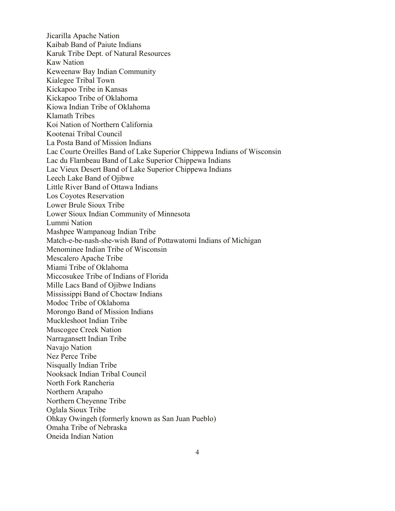Jicarilla Apache Nation Kaibab Band of Paiute Indians Karuk Tribe Dept. of Natural Resources Kaw Nation Keweenaw Bay Indian Community Kialegee Tribal Town Kickapoo Tribe in Kansas Kickapoo Tribe of Oklahoma Kiowa Indian Tribe of Oklahoma Klamath Tribes Koi Nation of Northern California Kootenai Tribal Council La Posta Band of Mission Indians Lac Courte Oreilles Band of Lake Superior Chippewa Indians of Wisconsin Lac du Flambeau Band of Lake Superior Chippewa Indians Lac Vieux Desert Band of Lake Superior Chippewa Indians Leech Lake Band of Ojibwe Little River Band of Ottawa Indians Los Coyotes Reservation Lower Brule Sioux Tribe Lower Sioux Indian Community of Minnesota Lummi Nation Mashpee Wampanoag Indian Tribe Match-e-be-nash-she-wish Band of Pottawatomi Indians of Michigan Menominee Indian Tribe of Wisconsin Mescalero Apache Tribe Miami Tribe of Oklahoma Miccosukee Tribe of Indians of Florida Mille Lacs Band of Ojibwe Indians Mississippi Band of Choctaw Indians Modoc Tribe of Oklahoma Morongo Band of Mission Indians Muckleshoot Indian Tribe Muscogee Creek Nation Narragansett Indian Tribe Navajo Nation Nez Perce Tribe Nisqually Indian Tribe Nooksack Indian Tribal Council North Fork Rancheria Northern Arapaho Northern Cheyenne Tribe Oglala Sioux Tribe Ohkay Owingeh (formerly known as San Juan Pueblo) Omaha Tribe of Nebraska Oneida Indian Nation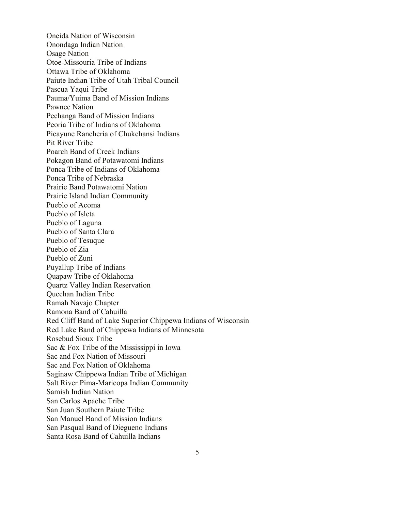Oneida Nation of Wisconsin Onondaga Indian Nation Osage Nation Otoe-Missouria Tribe of Indians Ottawa Tribe of Oklahoma Paiute Indian Tribe of Utah Tribal Council Pascua Yaqui Tribe Pauma/Yuima Band of Mission Indians Pawnee Nation Pechanga Band of Mission Indians Peoria Tribe of Indians of Oklahoma Picayune Rancheria of Chukchansi Indians Pit River Tribe Poarch Band of Creek Indians Pokagon Band of Potawatomi Indians Ponca Tribe of Indians of Oklahoma Ponca Tribe of Nebraska Prairie Band Potawatomi Nation Prairie Island Indian Community Pueblo of Acoma Pueblo of Isleta Pueblo of Laguna Pueblo of Santa Clara Pueblo of Tesuque Pueblo of Zia Pueblo of Zuni Puyallup Tribe of Indians Quapaw Tribe of Oklahoma Quartz Valley Indian Reservation Quechan Indian Tribe Ramah Navajo Chapter Ramona Band of Cahuilla Red Cliff Band of Lake Superior Chippewa Indians of Wisconsin Red Lake Band of Chippewa Indians of Minnesota Rosebud Sioux Tribe Sac & Fox Tribe of the Mississippi in Iowa Sac and Fox Nation of Missouri Sac and Fox Nation of Oklahoma Saginaw Chippewa Indian Tribe of Michigan Salt River Pima-Maricopa Indian Community Samish Indian Nation San Carlos Apache Tribe San Juan Southern Paiute Tribe San Manuel Band of Mission Indians San Pasqual Band of Diegueno Indians Santa Rosa Band of Cahuilla Indians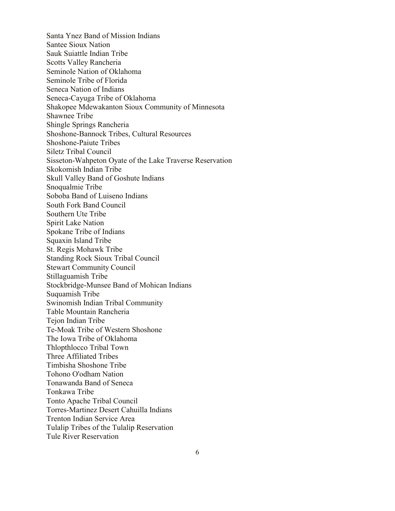Santa Ynez Band of Mission Indians Santee Sioux Nation Sauk Suiattle Indian Tribe Scotts Valley Rancheria Seminole Nation of Oklahoma Seminole Tribe of Florida Seneca Nation of Indians Seneca-Cayuga Tribe of Oklahoma Shakopee Mdewakanton Sioux Community of Minnesota Shawnee Tribe Shingle Springs Rancheria Shoshone-Bannock Tribes, Cultural Resources Shoshone-Paiute Tribes Siletz Tribal Council Sisseton-Wahpeton Oyate of the Lake Traverse Reservation Skokomish Indian Tribe Skull Valley Band of Goshute Indians Snoqualmie Tribe Soboba Band of Luiseno Indians South Fork Band Council Southern Ute Tribe Spirit Lake Nation Spokane Tribe of Indians Squaxin Island Tribe St. Regis Mohawk Tribe Standing Rock Sioux Tribal Council Stewart Community Council Stillaguamish Tribe Stockbridge-Munsee Band of Mohican Indians Suquamish Tribe Swinomish Indian Tribal Community Table Mountain Rancheria Tejon Indian Tribe Te-Moak Tribe of Western Shoshone The Iowa Tribe of Oklahoma Thlopthlocco Tribal Town Three Affiliated Tribes Timbisha Shoshone Tribe Tohono O'odham Nation Tonawanda Band of Seneca Tonkawa Tribe Tonto Apache Tribal Council Torres-Martinez Desert Cahuilla Indians Trenton Indian Service Area Tulalip Tribes of the Tulalip Reservation Tule River Reservation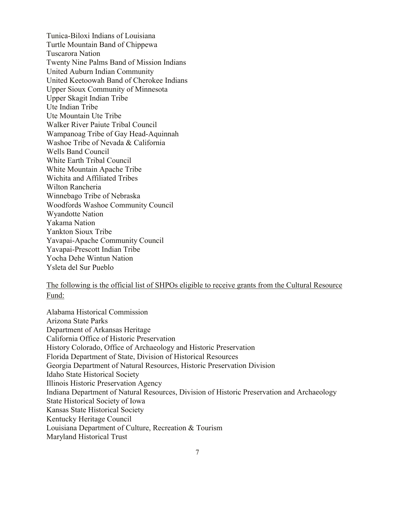Tunica-Biloxi Indians of Louisiana Turtle Mountain Band of Chippewa Tuscarora Nation Twenty Nine Palms Band of Mission Indians United Auburn Indian Community United Keetoowah Band of Cherokee Indians Upper Sioux Community of Minnesota Upper Skagit Indian Tribe Ute Indian Tribe Ute Mountain Ute Tribe Walker River Paiute Tribal Council Wampanoag Tribe of Gay Head-Aquinnah Washoe Tribe of Nevada & California Wells Band Council White Earth Tribal Council White Mountain Apache Tribe Wichita and Affiliated Tribes Wilton Rancheria Winnebago Tribe of Nebraska Woodfords Washoe Community Council Wyandotte Nation Yakama Nation Yankton Sioux Tribe Yavapai-Apache Community Council Yavapai-Prescott Indian Tribe Yocha Dehe Wintun Nation Ysleta del Sur Pueblo

## The following is the official list of SHPOs eligible to receive grants from the Cultural Resource Fund:

Alabama Historical Commission Arizona State Parks Department of Arkansas Heritage California Office of Historic Preservation History Colorado, Office of Archaeology and Historic Preservation Florida Department of State, Division of Historical Resources Georgia Department of Natural Resources, Historic Preservation Division Idaho State Historical Society Illinois Historic Preservation Agency Indiana Department of Natural Resources, Division of Historic Preservation and Archaeology State Historical Society of Iowa Kansas State Historical Society Kentucky Heritage Council Louisiana Department of Culture, Recreation & Tourism Maryland Historical Trust